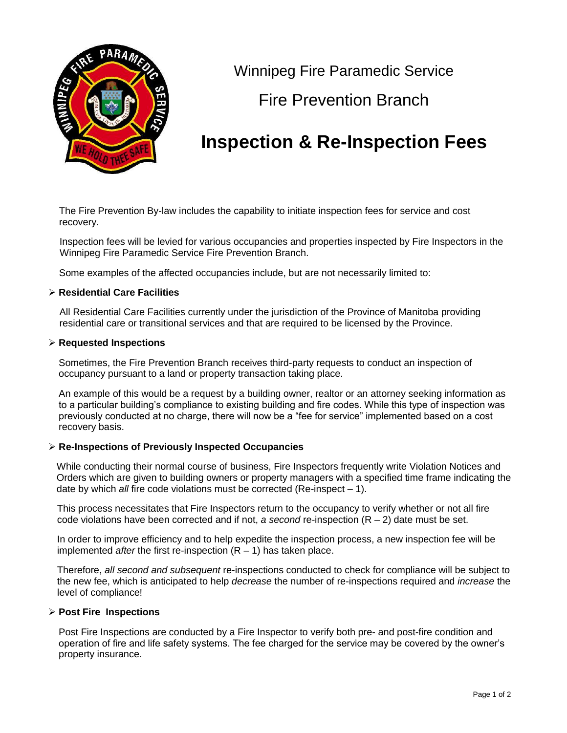

Winnipeg Fire Paramedic Service

## Fire Prevention Branch

# **Inspection & Re-Inspection Fees**

The Fire Prevention By-law includes the capability to initiate inspection fees for service and cost recovery.

Inspection fees will be levied for various occupancies and properties inspected by Fire Inspectors in the Winnipeg Fire Paramedic Service Fire Prevention Branch.

Some examples of the affected occupancies include, but are not necessarily limited to:

#### **Residential Care Facilities**

All Residential Care Facilities currently under the jurisdiction of the Province of Manitoba providing residential care or transitional services and that are required to be licensed by the Province.

#### **Requested Inspections**

Sometimes, the Fire Prevention Branch receives third-party requests to conduct an inspection of occupancy pursuant to a land or property transaction taking place.

An example of this would be a request by a building owner, realtor or an attorney seeking information as to a particular building's compliance to existing building and fire codes. While this type of inspection was previously conducted at no charge, there will now be a "fee for service" implemented based on a cost recovery basis.

#### **Re-Inspections of Previously Inspected Occupancies**

While conducting their normal course of business, Fire Inspectors frequently write Violation Notices and Orders which are given to building owners or property managers with a specified time frame indicating the date by which *all* fire code violations must be corrected (Re-inspect – 1).

This process necessitates that Fire Inspectors return to the occupancy to verify whether or not all fire code violations have been corrected and if not,  $a$  second re-inspection  $(R - 2)$  date must be set.

In order to improve efficiency and to help expedite the inspection process, a new inspection fee will be implemented *after* the first re-inspection (R – 1) has taken place.

Therefore, *all second and subsequent* re-inspections conducted to check for compliance will be subject to the new fee, which is anticipated to help *decrease* the number of re-inspections required and *increase* the level of compliance!

#### **Post Fire Inspections**

Post Fire Inspections are conducted by a Fire Inspector to verify both pre- and post-fire condition and operation of fire and life safety systems. The fee charged for the service may be covered by the owner's property insurance.